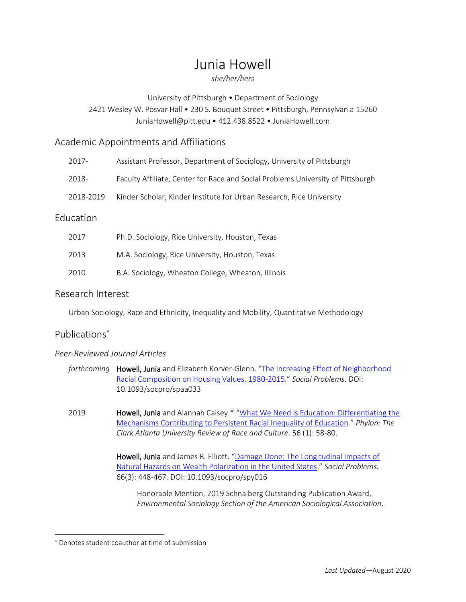# Junia Howell

## *she/her/hers*

University of Pittsburgh • Department of Sociology

# 2421 Wesley W. Posvar Hall • 230 S. Bouquet Street • Pittsburgh, Pennsylvania 15260 JuniaHowell@pitt.edu • 412.438.8522 • JuniaHowell.com

# Academic Appointments and Affiliations

| 2017-     | Assistant Professor, Department of Sociology, University of Pittsburgh          |
|-----------|---------------------------------------------------------------------------------|
| 2018-     | Faculty Affiliate, Center for Race and Social Problems University of Pittsburgh |
| 2018-2019 | Kinder Scholar, Kinder Institute for Urban Research, Rice University            |

# Education

| 2017 | Ph.D. Sociology, Rice University, Houston, Texas   |
|------|----------------------------------------------------|
| 2013 | M.A. Sociology, Rice University, Houston, Texas    |
| 2010 | B.A. Sociology, Wheaton College, Wheaton, Illinois |

# Research Interest

Urban Sociology, Race and Ethnicity, Inequality and Mobility, Quantitative Methodology

# Publications

## *Peer-Reviewed Journal Articles*

| forthcoming <b>Howell, Junia</b> and Elizabeth Korver-Glenn. "The Increasing Effect of Neighborhood |
|-----------------------------------------------------------------------------------------------------|
| Racial Composition on Housing Values, 1980-2015." Social Problems. DOI:                             |
| 10.1093/socpro/spaa033                                                                              |

2019 **Howell, Junia** and Alannah Caisey.\* "What We Need is Education: Differentiating the [Mechanisms Contributing to Persistent Racial Inequality of Education](https://static1.squarespace.com/static/573ba69bcf80a1323384f7d6/t/5d544ab054f2540001ba2443/1565805234057/Howell+and+Caisey+2019+What+We+Need+is+Education.pdf)." *Phylon: The Clark Atlanta University Review of Race and Culture*. 56 (1): 58-80.

> Howell, Junia and James R. Elliott. "Damage Done: The Longitudinal Impacts of Natural [Hazards on Wealth Polarization in the United States](https://academic.oup.com/socpro/article/66/3/448/5074453?guestAccessKey=339b3f1e-825b-48c9-af4b-1a2bb9908326)." *Social Problems.* 66(3): 448-467. DOI: 10.1093/socpro/spy016

Honorable Mention, 2019 Schnaiberg Outstanding Publication Award, *Environmental Sociology Section of the American Sociological Association*.

Denotes student coauthor at time of submission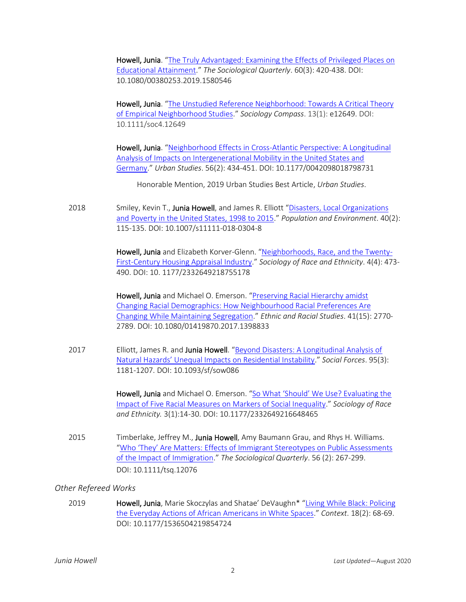Howell, Junia. "The Truly Advantaged: Examining the Effects of Privileged Places on [Educational Attainment](https://www.tandfonline.com/doi/abs/10.1080/00380253.2019.1580546?journalCode=utsq20)." *The Sociological Quarterly*. 60(3): 420-438. DOI: 10.1080/00380253.2019.1580546

Howell, Junia. "[The Unstudied Reference Neighborhood: Towards A Critical Theory](https://onlinelibrary.wiley.com/doi/abs/10.1111/soc4.12649)  [of Empirical Neighborhood Studies](https://onlinelibrary.wiley.com/doi/abs/10.1111/soc4.12649)." *Sociology Compass*. 13(1): e12649. DOI: 10.1111/soc4.12649

Howell, Junia. "[Neighborhood Effects in Cross-Atlantic Perspective: A Longitudinal](https://journals.sagepub.com/doi/abs/10.1177/0042098018798731?journalCode=usja)  [Analysis of Impacts on Intergenerational Mobility in the United States and](https://journals.sagepub.com/doi/abs/10.1177/0042098018798731?journalCode=usja)  [Germany](https://journals.sagepub.com/doi/abs/10.1177/0042098018798731?journalCode=usja)." *Urban Studies*. 56(2): 434-451. DOI: 10.1177/0042098018798731

Honorable Mention, 2019 Urban Studies Best Article, *Urban Studies*.

2018 Smiley, Kevin T., Junia Howell, and James R. Elliott "Disasters, Local Organizations [and Poverty in the United States, 1998 to 2015](https://link.springer.com/article/10.1007/s11111-018-0304-8?wt_mc=Internal.Event.1.SEM.ArticleAuthorOnlineFirst)." *Population and Environment*. 40(2): 115-135. DOI: 10.1007/s11111-018-0304-8

> Howell, Junia and Elizabeth Korver-Glenn. "[Neighborhoods, Race, and the Twenty-](https://journals.sagepub.com/eprint/NGfXH7DQVcKnfcyZwW4P/full)[First-Century Housing Appraisal Industry](https://journals.sagepub.com/eprint/NGfXH7DQVcKnfcyZwW4P/full)." *Sociology of Race and Ethnicity*. 4(4): 473- 490. DOI: 10. 1177/2332649218755178

Howell, Junia and Michael O. Emerson. "Preserving Racial Hierarchy amidst [Changing Racial Demographics: How Neighbourhood Racial Preferences Are](https://www.tandfonline.com/doi/abs/10.1080/01419870.2017.1398833)  [Changing While Maintaining Segregation](https://www.tandfonline.com/doi/abs/10.1080/01419870.2017.1398833)." *Ethnic and Racial Studies*. 41(15): 2770- 2789. DOI: 10.1080/01419870.2017.1398833

2017 Elliott, James R. and Junia Howell. "Beyond Disasters: A Longitudinal Analysis of [Natural Hazards' Unequal Impacts on Residential Instability.](https://academic.oup.com/sf/article-abstract/95/3/1181/2527555)" *Social Forces*. 95(3): 1181-1207. DOI: 10.1093/sf/sow086

> Howell, Junia and Michael O. Emerson. ["So What 'Should' We Use? Evaluating the](https://journals.sagepub.com/doi/abs/10.1177/2332649216648465?journalCode=srea)  [Impact of Five Racial Measures on Markers of Social Inequality](https://journals.sagepub.com/doi/abs/10.1177/2332649216648465?journalCode=srea)." *Sociology of Race and Ethnicity.* 3(1):14-30. DOI: 10.1177/2332649216648465

2015 Timberlake, Jeffrey M., Junia Howell, Amy Baumann Grau, and Rhys H. Williams. "Who 'They' Are Matters: Effects of [Immigrant Stereotypes on Public Assessments](https://static1.squarespace.com/static/573ba69bcf80a1323384f7d6/t/5a254aa553450a9dabcd2c24/1512393382315/Timberlake_et_al-2015-The_Sociological_Quarterly.pdf)  [of the Impact of Immigration](https://static1.squarespace.com/static/573ba69bcf80a1323384f7d6/t/5a254aa553450a9dabcd2c24/1512393382315/Timberlake_et_al-2015-The_Sociological_Quarterly.pdf)." *The Sociological Quarterly*. 56 (2): 267-299. DOI: 10.1111/tsq.12076

#### *Other Refereed Works*

2019 **Howell, Junia**, Marie Skoczylas and Shatae' DeVaughn\* "Living While Black: Policing [the Everyday Actions of African Americans in White Spaces](https://journals.sagepub.com/doi/full/10.1177/1536504219854724)." *Context*. 18(2): 68-69. DOI: 10.1177/1536504219854724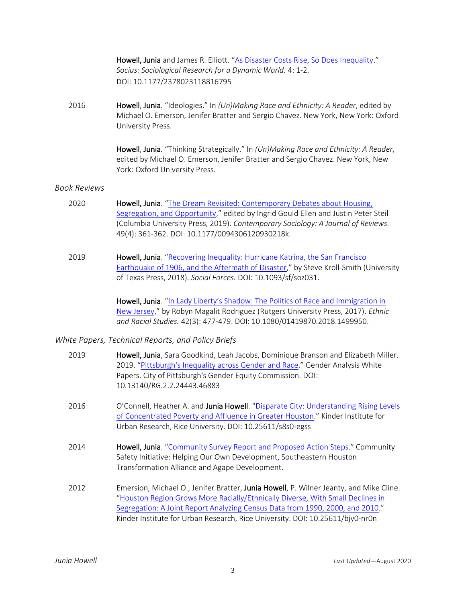Howell, Junia and James R. Elliott. "[As Disaster Costs Rise, So Does Inequality](https://journals.sagepub.com/doi/full/10.1177/2378023118816795)." *Socius: Sociological Research for a Dynamic World.* 4: 1-2. DOI: 10.1177/2378023118816795

2016 Howell, Junia. "Ideologies." In *(Un)Making Race and Ethnicity: A Reader*, edited by Michael O. Emerson, Jenifer Bratter and Sergio Chavez. New York, New York: Oxford University Press.

> Howell, Junia. "Thinking Strategically." In *(Un)Making Race and Ethnicity: A Reader*, edited by Michael O. Emerson, Jenifer Bratter and Sergio Chavez. New York, New York: Oxford University Press.

#### *Book Reviews*

- 2020 Howell, Junia. "[The Dream Revisited: Contemporary Debates about Housing,](https://journals.sagepub.com/eprint/WURFKEKBNVBZYR7BNMBS/full)  [Segregation, and Opportunity](https://journals.sagepub.com/eprint/WURFKEKBNVBZYR7BNMBS/full)," edited by Ingrid Gould Ellen and Justin Peter Steil (Columbia University Press, 2019). *Contemporary Sociology: A Journal of Reviews.* 49(4): 361-362. DOI: 10.1177/0094306120930218k.
- 2019 **Howell, Junia**. "Recovering Inequality: Hurricane Katrina, the San Francisco [Earthquake of 1906, and the Aftermath of Disaster](https://static1.squarespace.com/static/573ba69bcf80a1323384f7d6/t/5cbf0802f4e1fca95333106b/1556023298972/Howell%27s+Review+of+Kroll-Smith%27s+Recovering+Inequality.pdf)," by Steve Kroll-Smith (University of Texas Press, 2018). *Social Forces.* DOI: 10.1093/sf/soz031.

Howell, Junia. ["In Lady Liberty's Shadow: The Politics of Race and Immigrati](https://www.tandfonline.com/doi/abs/10.1080/01419870.2018.1499950)on in [New Jersey](https://www.tandfonline.com/doi/abs/10.1080/01419870.2018.1499950)," by Robyn Magalit Rodriguez (Rutgers University Press, 2017). *Ethnic and Racial Studies.* 42(3): 477-479. DOI: 10.1080/01419870.2018.1499950.

#### *White Papers, Technical Reports, and Policy Briefs*

| 2019 | Howell, Junia, Sara Goodkind, Leah Jacobs, Dominique Branson and Elizabeth Miller.<br>2019. "Pittsburgh's Inequality across Gender and Race." Gender Analysis White<br>Papers. City of Pittsburgh's Gender Equity Commission. DOI:<br>10.13140/RG.2.2.24443.46883                                                                          |
|------|--------------------------------------------------------------------------------------------------------------------------------------------------------------------------------------------------------------------------------------------------------------------------------------------------------------------------------------------|
| 2016 | O'Connell, Heather A. and Junia Howell. "Disparate City: Understanding Rising Levels<br>of Concentrated Poverty and Affluence in Greater Houston." Kinder Institute for<br>Urban Research, Rice University. DOI: 10.25611/s8s0-egss                                                                                                        |
| 2014 | <b>Howell, Junia.</b> "Community Survey Report and Proposed Action Steps." Community<br>Safety Initiative: Helping Our Own Development, Southeastern Houston<br>Transformation Alliance and Agape Development.                                                                                                                             |
| 2012 | Emersion, Michael O., Jenifer Bratter, Junia Howell, P. Wilner Jeanty, and Mike Cline.<br>"Houston Region Grows More Racially/Ethnically Diverse, With Small Declines in<br>Segregation: A Joint Report Analyzing Census Data from 1990, 2000, and 2010."<br>Kinder Institute for Urban Research, Rice University. DOI: 10.25611/bjy0-nr0n |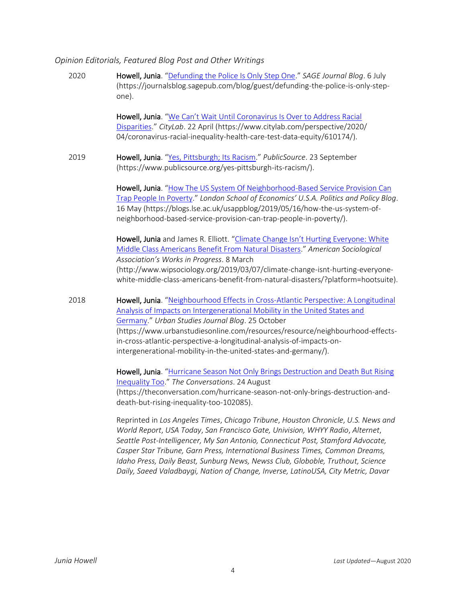#### *Opinion Editorials, Featured Blog Post and Other Writings*

| 2020 | Howell, Junia. "Defunding the Police Is Only Step One." SAGE Journal Blog. 6 July<br>(https://journalsblog.sagepub.com/blog/guest/defunding-the-police-is-only-step-<br>one).                                                                                                                                                                                                                                                                    |
|------|--------------------------------------------------------------------------------------------------------------------------------------------------------------------------------------------------------------------------------------------------------------------------------------------------------------------------------------------------------------------------------------------------------------------------------------------------|
|      | Howell, Junia. "We Can't Wait Until Coronavirus Is Over to Address Racial<br>Disparities." CityLab. 22 April (https://www.citylab.com/perspective/2020/<br>04/coronavirus-racial-inequality-health-care-test-data-equity/610174/).                                                                                                                                                                                                               |
| 2019 | Howell, Junia. "Yes, Pittsburgh; Its Racism." PublicSource. 23 September<br>(https://www.publicsource.org/yes-pittsburgh-its-racism/).                                                                                                                                                                                                                                                                                                           |
|      | Howell, Junia. "How The US System Of Neighborhood-Based Service Provision Can<br>Trap People In Poverty." London School of Economics' U.S.A. Politics and Policy Blog.<br>16 May (https://blogs.lse.ac.uk/usappblog/2019/05/16/how-the-us-system-of-<br>neighborhood-based-service-provision-can-trap-people-in-poverty/).                                                                                                                       |
|      | Howell, Junia and James R. Elliott. "Climate Change Isn't Hurting Everyone: White<br>Middle Class Americans Benefit From Natural Disasters." American Sociological<br>Association's Works in Progress. 8 March                                                                                                                                                                                                                                   |
|      | (http://www.wipsociology.org/2019/03/07/climate-change-isnt-hurting-everyone-<br>white-middle-class-americans-benefit-from-natural-disasters/?platform=hootsuite).                                                                                                                                                                                                                                                                               |
| 2018 | Howell, Junia. "Neighbourhood Effects in Cross-Atlantic Perspective: A Longitudinal<br>Analysis of Impacts on Intergenerational Mobility in the United States and<br>Germany." Urban Studies Journal Blog. 25 October<br>(https://www.urbanstudiesonline.com/resources/resource/neighbourhood-effects-<br>in-cross-atlantic-perspective-a-longitudinal-analysis-of-impacts-on-<br>intergenerational-mobility-in-the-united-states-and-germany/). |
|      | Howell, Junia. "Hurricane Season Not Only Brings Destruction and Death But Rising<br>$\frac{1}{2}$ $\frac{1}{2}$ $\frac{1}{2}$                                                                                                                                                                                                                                                                                                                   |

[Inequality Too](https://theconversation.com/hurricane-season-not-only-brings-destruction-and-death-but-rising-inequality-too-102085)." *The Conversations*. 24 August (https://theconversation.com/hurricane-season-not-only-brings-destruction-anddeath-but-rising-inequality-too-102085).

Reprinted in *Los Angeles Times*, *Chicago Tribune*, *Houston Chronicle*, *U.S. News and World Report*, *USA Today*, *San Francisco Gate, Univision, WHYY Radio*, *Alternet*, *Seattle Post-Intelligencer, My San Antonio, Connecticut Post, Stamford Advocate, Casper Star Tribune, Garn Press, International Business Times, Common Dreams, Idaho Press, Daily Beast, Sunburg News, Newss Club, Globoble, Truthout, Science Daily, Saeed Valadbaygi, Nation of Change, Inverse, LatinoUSA, City Metric, Davar*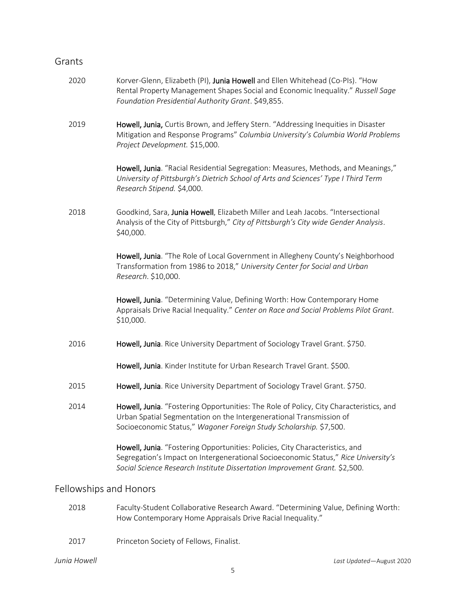## Grants

| 2020 | Korver-Glenn, Elizabeth (PI), Junia Howell and Ellen Whitehead (Co-PIs). "How<br>Rental Property Management Shapes Social and Economic Inequality." Russell Sage<br>Foundation Presidential Authority Grant. \$49,855.                           |
|------|--------------------------------------------------------------------------------------------------------------------------------------------------------------------------------------------------------------------------------------------------|
| 2019 | Howell, Junia, Curtis Brown, and Jeffery Stern. "Addressing Inequities in Disaster<br>Mitigation and Response Programs" Columbia University's Columbia World Problems<br>Project Development. \$15,000.                                          |
|      | Howell, Junia. "Racial Residential Segregation: Measures, Methods, and Meanings,"<br>University of Pittsburgh's Dietrich School of Arts and Sciences' Type I Third Term<br>Research Stipend. \$4,000.                                            |
| 2018 | Goodkind, Sara, Junia Howell, Elizabeth Miller and Leah Jacobs. "Intersectional<br>Analysis of the City of Pittsburgh," City of Pittsburgh's City wide Gender Analysis.<br>\$40,000.                                                             |
|      | Howell, Junia. "The Role of Local Government in Allegheny County's Neighborhood<br>Transformation from 1986 to 2018," University Center for Social and Urban<br>Research. \$10,000.                                                              |
|      | Howell, Junia. "Determining Value, Defining Worth: How Contemporary Home<br>Appraisals Drive Racial Inequality." Center on Race and Social Problems Pilot Grant.<br>\$10,000.                                                                    |
| 2016 | Howell, Junia. Rice University Department of Sociology Travel Grant. \$750.                                                                                                                                                                      |
|      | Howell, Junia. Kinder Institute for Urban Research Travel Grant. \$500.                                                                                                                                                                          |
| 2015 | Howell, Junia. Rice University Department of Sociology Travel Grant. \$750.                                                                                                                                                                      |
| 2014 | Howell, Junia. "Fostering Opportunities: The Role of Policy, City Characteristics, and<br>Urban Spatial Segmentation on the Intergenerational Transmission of<br>Socioeconomic Status," Wagoner Foreign Study Scholarship. \$7,500.              |
|      | Howell, Junia. "Fostering Opportunities: Policies, City Characteristics, and<br>Segregation's Impact on Intergenerational Socioeconomic Status," Rice University's<br>Social Science Research Institute Dissertation Improvement Grant. \$2,500. |

# Fellowships and Honors

- 2018 Faculty-Student Collaborative Research Award. "Determining Value, Defining Worth: How Contemporary Home Appraisals Drive Racial Inequality."
- 2017 Princeton Society of Fellows, Finalist.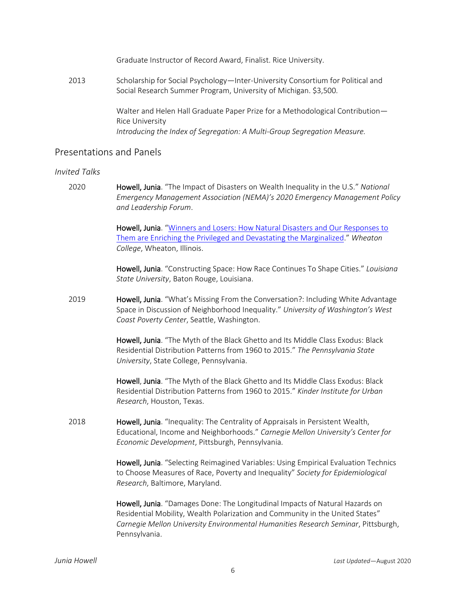Graduate Instructor of Record Award, Finalist. Rice University.

2013 Scholarship for Social Psychology—Inter-University Consortium for Political and Social Research Summer Program, University of Michigan. \$3,500.

> Walter and Helen Hall Graduate Paper Prize for a Methodological Contribution— Rice University *Introducing the Index of Segregation: A Multi-Group Segregation Measure.*

## Presentations and Panels

#### *Invited Talks*

2020 Howell, Junia. "The Impact of Disasters on Wealth Inequality in the U.S." *National Emergency Management Association (NEMA)'s 2020 Emergency Management Policy and Leadership Forum*.

> Howell, Junia. "[Winners and Losers: How Natural Disasters and Our Responses to](https://www.youtube.com/watch?v=CtuKUxiiANQ)  [Them are Enriching the Privileged and Devastating the Marginalized.](https://www.youtube.com/watch?v=CtuKUxiiANQ)" *Wheaton College*, Wheaton, Illinois.

Howell, Junia. "Constructing Space: How Race Continues To Shape Cities." *Louisiana State University*, Baton Rouge, Louisiana.

2019 **Howell, Junia**. "What's Missing From the Conversation?: Including White Advantage Space in Discussion of Neighborhood Inequality." *University of Washington's West Coast Poverty Center*, Seattle, Washington.

> Howell, Junia. "The Myth of the Black Ghetto and Its Middle Class Exodus: Black Residential Distribution Patterns from 1960 to 2015." *The Pennsylvania State University*, State College, Pennsylvania.

> Howell, Junia. "The Myth of the Black Ghetto and Its Middle Class Exodus: Black Residential Distribution Patterns from 1960 to 2015." *Kinder Institute for Urban Research*, Houston, Texas.

2018 Howell, Junia. "Inequality: The Centrality of Appraisals in Persistent Wealth, Educational, Income and Neighborhoods." *Carnegie Mellon University's Center for Economic Development*, Pittsburgh, Pennsylvania.

> Howell, Junia. "Selecting Reimagined Variables: Using Empirical Evaluation Technics to Choose Measures of Race, Poverty and Inequality" *Society for Epidemiological Research*, Baltimore, Maryland.

> Howell, Junia. "Damages Done: The Longitudinal Impacts of Natural Hazards on Residential Mobility, Wealth Polarization and Community in the United States" *Carnegie Mellon University Environmental Humanities Research Seminar*, Pittsburgh, Pennsylvania.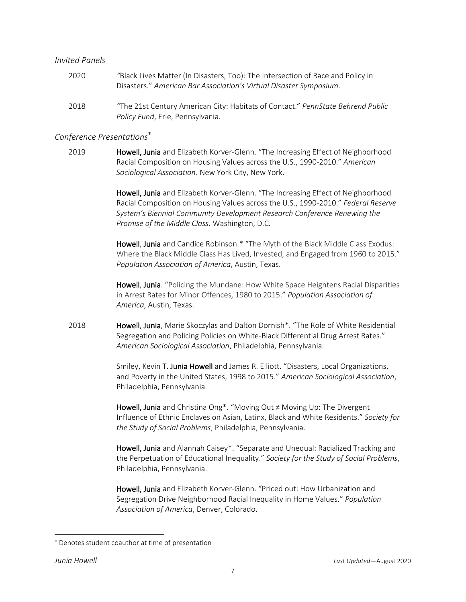#### *Invited Panels*

2020 *"*Black Lives Matter (In Disasters, Too): The Intersection of Race and Policy in Disasters." *American Bar Association's Virtual Disaster Symposium*. 2018 *"*The 21st Century American City: Habitats of Contact." *PennState Behrend Public* 

# *Conference Presentations*

*Policy Fund*, Erie, Pennsylvania.

2019 Howell, Junia and Elizabeth Korver-Glenn. "The Increasing Effect of Neighborhood Racial Composition on Housing Values across the U.S., 1990-2010." *American Sociological Association*. New York City, New York.

> Howell, Junia and Elizabeth Korver-Glenn. "The Increasing Effect of Neighborhood Racial Composition on Housing Values across the U.S., 1990-2010." *Federal Reserve System's Biennial Community Development Research Conference Renewing the Promise of the Middle Class*. Washington, D.C.

Howell, Junia and Candice Robinson.\* "The Myth of the Black Middle Class Exodus: Where the Black Middle Class Has Lived, Invested, and Engaged from 1960 to 2015." *Population Association of America*, Austin, Texas.

Howell, Junia. "Policing the Mundane: How White Space Heightens Racial Disparities in Arrest Rates for Minor Offences, 1980 to 2015." *Population Association of America*, Austin, Texas.

2018 **Howell, Junia, Marie Skoczylas and Dalton Dornish\*.** "The Role of White Residential Segregation and Policing Policies on White-Black Differential Drug Arrest Rates." *American Sociological Association*, Philadelphia, Pennsylvania.

> Smiley, Kevin T. Junia Howell and James R. Elliott. "Disasters, Local Organizations, and Poverty in the United States, 1998 to 2015." *American Sociological Association*, Philadelphia, Pennsylvania.

> Howell, Junia and Christina Ong\*. "Moving Out ≠ Moving Up: The Divergent Influence of Ethnic Enclaves on Asian, Latinx, Black and White Residents." *Society for the Study of Social Problems*, Philadelphia, Pennsylvania.

> Howell, Junia and Alannah Caisey\*. "Separate and Unequal: Racialized Tracking and the Perpetuation of Educational Inequality." *Society for the Study of Social Problems*, Philadelphia, Pennsylvania.

Howell, Junia and Elizabeth Korver-Glenn. "Priced out: How Urbanization and Segregation Drive Neighborhood Racial Inequality in Home Values." *Population Association of America*, Denver, Colorado.

Denotes student coauthor at time of presentation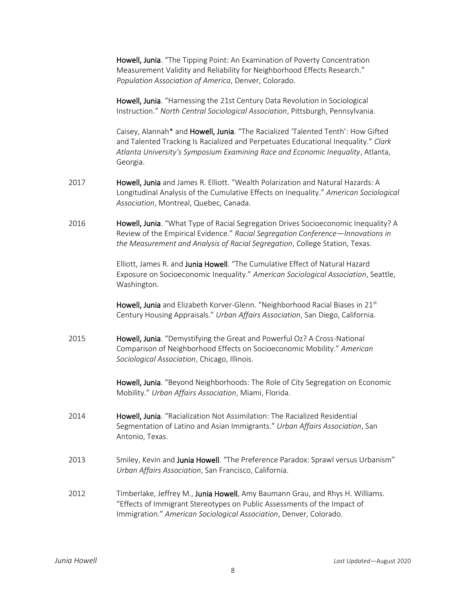Howell, Junia. "The Tipping Point: An Examination of Poverty Concentration Measurement Validity and Reliability for Neighborhood Effects Research." *Population Association of America*, Denver, Colorado.

Howell, Junia. "Harnessing the 21st Century Data Revolution in Sociological Instruction." *North Central Sociological Association*, Pittsburgh, Pennsylvania.

Caisey, Alannah\* and Howell, Junia. "The Racialized 'Talented Tenth': How Gifted and Talented Tracking Is Racialized and Perpetuates Educational Inequality." *Clark Atlanta University's Symposium Examining Race and Economic Inequality*, Atlanta, Georgia.

- 2017 **Howell, Junia** and James R. Elliott. "Wealth Polarization and Natural Hazards: A Longitudinal Analysis of the Cumulative Effects on Inequality." *American Sociological Association*, Montreal, Quebec, Canada.
- 2016 **Howell, Junia**. "What Type of Racial Segregation Drives Socioeconomic Inequality? A Review of the Empirical Evidence." *Racial Segregation Conference—Innovations in the Measurement and Analysis of Racial Segregation*, College Station, Texas.

Elliott, James R. and Junia Howell. "The Cumulative Effect of Natural Hazard Exposure on Socioeconomic Inequality." *American Sociological Association*, Seattle, Washington.

Howell, Junia and Elizabeth Korver-Glenn. "Neighborhood Racial Biases in 21st Century Housing Appraisals." *Urban Affairs Association*, San Diego, California.

2015 Howell, Junia. "Demystifying the Great and Powerful Oz? A Cross-National Comparison of Neighborhood Effects on Socioeconomic Mobility." *American Sociological Association*, Chicago, Illinois.

> Howell, Junia. "Beyond Neighborhoods: The Role of City Segregation on Economic Mobility." *Urban Affairs Association*, Miami, Florida.

- 2014 Howell, Junia. "Racialization Not Assimilation: The Racialized Residential Segmentation of Latino and Asian Immigrants." *Urban Affairs Association*, San Antonio, Texas.
- 2013 Smiley, Kevin and Junia Howell. "The Preference Paradox: Sprawl versus Urbanism" *Urban Affairs Association*, San Francisco, California.
- 2012 Timberlake, Jeffrey M., Junia Howell, Amy Baumann Grau, and Rhys H. Williams. "Effects of Immigrant Stereotypes on Public Assessments of the Impact of Immigration." *American Sociological Association*, Denver, Colorado.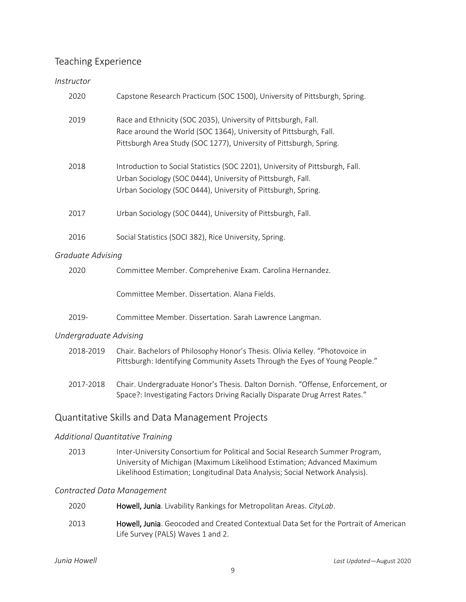# Teaching Experience

# *Instructor*

|                   | 2020 | Capstone Research Practicum (SOC 1500), University of Pittsburgh, Spring.                                                                                                                                     |
|-------------------|------|---------------------------------------------------------------------------------------------------------------------------------------------------------------------------------------------------------------|
|                   | 2019 | Race and Ethnicity (SOC 2035), University of Pittsburgh, Fall.<br>Race around the World (SOC 1364), University of Pittsburgh, Fall.<br>Pittsburgh Area Study (SOC 1277), University of Pittsburgh, Spring.    |
|                   | 2018 | Introduction to Social Statistics (SOC 2201), University of Pittsburgh, Fall.<br>Urban Sociology (SOC 0444), University of Pittsburgh, Fall.<br>Urban Sociology (SOC 0444), University of Pittsburgh, Spring. |
|                   | 2017 | Urban Sociology (SOC 0444), University of Pittsburgh, Fall.                                                                                                                                                   |
|                   | 2016 | Social Statistics (SOCI 382), Rice University, Spring.                                                                                                                                                        |
| Graduate Advising |      |                                                                                                                                                                                                               |
|                   | 2020 | Committee Member. Comprehenive Exam. Carolina Hernandez.                                                                                                                                                      |
|                   |      | Committee Member. Dissertation. Alana Fields.                                                                                                                                                                 |

2019- Committee Member. Dissertation. Sarah Lawrence Langman.

## *Undergraduate Advising*

| 2018-2019 | Chair. Bachelors of Philosophy Honor's Thesis. Olivia Kelley. "Photovoice in |
|-----------|------------------------------------------------------------------------------|
|           | Pittsburgh: Identifying Community Assets Through the Eyes of Young People."  |

2017-2018 Chair. Undergraduate Honor's Thesis. Dalton Dornish. "Offense, Enforcement, or Space?: Investigating Factors Driving Racially Disparate Drug Arrest Rates."

# Quantitative Skills and Data Management Projects

## *Additional Quantitative Training*

2013 Inter-University Consortium for Political and Social Research Summer Program, University of Michigan (Maximum Likelihood Estimation; Advanced Maximum Likelihood Estimation; Longitudinal Data Analysis; Social Network Analysis).

#### *Contracted Data Management*

| 2020 | Howell, Junia. Livability Rankings for Metropolitan Areas. CityLab.                                                               |
|------|-----------------------------------------------------------------------------------------------------------------------------------|
| 2013 | <b>Howell, Junia</b> . Geocoded and Created Contextual Data Set for the Portrait of American<br>Life Survey (PALS) Waves 1 and 2. |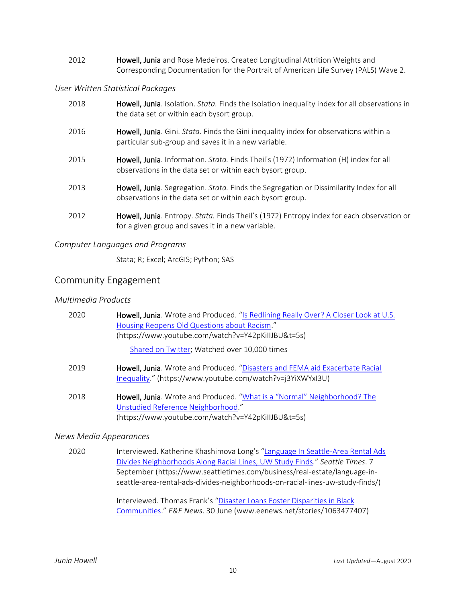2012 **Howell, Junia** and Rose Medeiros. Created Longitudinal Attrition Weights and Corresponding Documentation for the Portrait of American Life Survey (PALS) Wave 2.

### *User Written Statistical Packages*

| 2018 | Howell, Junia. Isolation. <i>Stata</i> . Finds the Isolation inequality index for all observations in<br>the data set or within each bysort group.   |
|------|------------------------------------------------------------------------------------------------------------------------------------------------------|
| 2016 | Howell, Junia. Gini. Stata. Finds the Gini inequality index for observations within a<br>particular sub-group and saves it in a new variable.        |
| 2015 | Howell, Junia. Information. Stata. Finds Theil's (1972) Information (H) index for all<br>observations in the data set or within each bysort group.   |
| 2013 | Howell, Junia. Segregation. Stata. Finds the Segregation or Dissimilarity Index for all<br>observations in the data set or within each bysort group. |
| 2012 | Howell, Junia. Entropy. Stata. Finds Theil's (1972) Entropy index for each observation or<br>for a given group and saves it in a new variable.       |

## *Computer Languages and Programs*

Stata; R; Excel; ArcGIS; Python; SAS

# Community Engagement

### *Multimedia Products*

| 2020 | Howell, Junia. Wrote and Produced. "Is Redlining Really Over? A Closer Look at U.S.<br>Housing Reopens Old Questions about Racism."<br>(https://www.youtube.com/watch?v=Y42pKillJBU&t=5s)<br>Shared on Twitter; Watched over 10,000 times |
|------|-------------------------------------------------------------------------------------------------------------------------------------------------------------------------------------------------------------------------------------------|
| 2019 | Howell, Junia. Wrote and Produced. "Disasters and FEMA aid Exacerbate Racial<br>Inequality." (https://www.youtube.com/watch?v=j3YiXWYxI3U)                                                                                                |
| 2018 | Howell, Junia. Wrote and Produced. "What is a "Normal" Neighborhood? The<br>Unstudied Reference Neighborhood."<br>(https://www.youtube.com/watch?v=Y42pKillJBU&t=5s)                                                                      |

#### *News Media Appearances*

2020 Interviewed. Katherine Khashimova Long's "Language In Seattle-Area Rental Ads [Divides Neighborhoods Along Racial Lines, UW](https://www.seattletimes.com/business/real-estate/language-in-seattle-area-rental-ads-divides-neighborhoods-on-racial-lines-uw-study-finds/) Study Finds." *Seattle Times*. 7 September (https://www.seattletimes.com/business/real-estate/language-inseattle-area-rental-ads-divides-neighborhoods-on-racial-lines-uw-study-finds/)

> Interviewed. Thomas Frank's "[Disaster Loans Foster Disparities in Black](http://www.eenews.net/stories/1063477407)  [Communities](http://www.eenews.net/stories/1063477407)." *E&E News*. 30 June (www.eenews.net/stories/1063477407)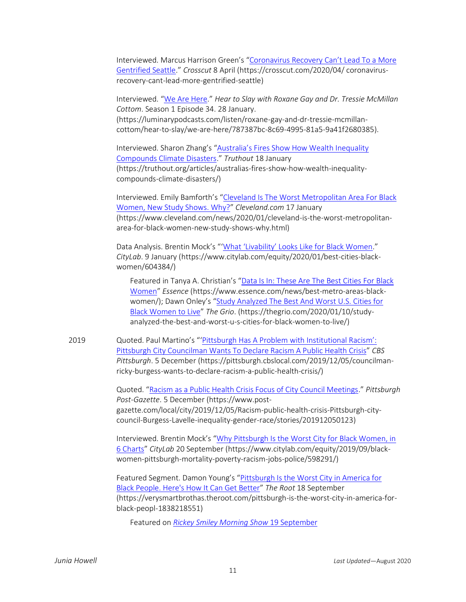Interviewed. Marcus Harrison Green's "Coronavirus [Recovery Can't Lead To a](https://crosscut.com/2020/04/%20coronavirus-recovery-cant-lead-more-gentrified-seattle) More [Gentrified Seattle](https://crosscut.com/2020/04/%20coronavirus-recovery-cant-lead-more-gentrified-seattle)." *Crosscut* 8 April (https://crosscut.com/2020/04/ coronavirusrecovery-cant-lead-more-gentrified-seattle)

Interviewed. "[We Are Here](https://luminarypodcasts.com/listen/roxane-gay-and-dr-tressie-mcmillan-cottom/hear-to-slay/we-are-here/787387bc-8c69-4995-81a5-9a41f2680385)." *Hear to Slay with Roxane Gay and Dr. Tressie McMillan Cottom*. Season 1 Episode 34. 28 January. (https://luminarypodcasts.com/listen/roxane-gay-and-dr-tressie-mcmillancottom/hear-to-slay/we-are-here/787387bc-8c69-4995-81a5-9a41f2680385).

Interviewed. Sharon Zhang's ["Australia's Fires Show How Wealth Inequality](https://truthout.org/articles/australias-fires-show-how-wealth-inequality-compounds-climate-disasters/)  [Compounds Climate Disasters](https://truthout.org/articles/australias-fires-show-how-wealth-inequality-compounds-climate-disasters/)." *Truthout* 18 January (https://truthout.org/articles/australias-fires-show-how-wealth-inequalitycompounds-climate-disasters/)

Interviewed. Emily Bamforth's "[Cleveland Is The Worst Metropolitan Area For Black](https://www.cleveland.com/news/2020/01/cleveland-is-the-worst-metropolitan-area-for-black-women-new-study-shows-why.html)  [Women, New Study Shows. Why?](https://www.cleveland.com/news/2020/01/cleveland-is-the-worst-metropolitan-area-for-black-women-new-study-shows-why.html)" *Cleveland.com* 17 January (https://www.cleveland.com/news/2020/01/cleveland-is-the-worst-metropolitanarea-for-black-women-new-study-shows-why.html)

Data Analysis. Brentin Mock's "['What 'Livability' Looks Like for Black Women.](https://www.citylab.com/equity/2020/01/best-cities-black-women/604384/)" *CityLab*. 9 January (https://www.citylab.com/equity/2020/01/best-cities-blackwomen/604384/)

Featured in Tanya A. Christian's "Data Is In: These Are [The Best Cities For Black](https://www.essence.com/news/best-metro-areas-black-women/)  [Women](https://www.essence.com/news/best-metro-areas-black-women/)" *Essence* (https://www.essence.com/news/best-metro-areas-blackwomen/); Dawn Onley's "[Study Analyzed The Best And Worst U.S. Cities for](https://thegrio.com/2020/01/10/study-analyzed-the-best-and-worst-u-s-cities-for-black-women-to-live/)  [Black Women to Live](https://thegrio.com/2020/01/10/study-analyzed-the-best-and-worst-u-s-cities-for-black-women-to-live/)" *The Grio*. (https://thegrio.com/2020/01/10/studyanalyzed-the-best-and-worst-u-s-cities-for-black-women-to-live/)

2019 Quoted. Paul Martino's "'[Pittsburgh Has A Problem with](https://pittsburgh.cbslocal.com/2019/12/05/councilman-ricky-burgess-wants-to-declare-racism-a-public-health-crisis/) Institutional Racism': [Pittsburgh City Councilman Wants To Declare Racism A Public Health Crisis](https://pittsburgh.cbslocal.com/2019/12/05/councilman-ricky-burgess-wants-to-declare-racism-a-public-health-crisis/)" *CBS Pittsburgh*. 5 December (https://pittsburgh.cbslocal.com/2019/12/05/councilmanricky-burgess-wants-to-declare-racism-a-public-health-crisis/)

> Quoted. "[Racism as a Public Health Crisis Focus of City Council Meetings](https://www.post-gazette.com/local/city/2019/12/05/Racism-public-health-crisis-Pittsburgh-city-council-Burgess-Lavelle-inequality-gender-race/stories/201912050123)." *Pittsburgh Post-Gazette*. 5 December (https://www.postgazette.com/local/city/2019/12/05/Racism-public-health-crisis-Pittsburgh-citycouncil-Burgess-Lavelle-inequality-gender-race/stories/201912050123)

Interviewed. Brentin Mock's "[Why Pittsburgh Is the Worst City for Black Women, in](https://www.citylab.com/equity/2019/09/black-women-pittsburgh-mortality-poverty-racism-jobs-police/598291/)  [6 Charts](https://www.citylab.com/equity/2019/09/black-women-pittsburgh-mortality-poverty-racism-jobs-police/598291/)" *CityLab* 20 September (https://www.citylab.com/equity/2019/09/blackwomen-pittsburgh-mortality-poverty-racism-jobs-police/598291/)

Featured Segment. Damon Young's "Pittsburgh Is the Worst City in America for [Black People. Here's How It Can Get Better](https://verysmartbrothas.theroot.com/pittsburgh-is-the-worst-city-in-america-for-black-peopl-1838218551)" *The Root* 18 September (https://verysmartbrothas.theroot.com/pittsburgh-is-the-worst-city-in-america-forblack-peopl-1838218551)

Featured on *Rickey Smiley [Morning Show](https://www.youtube.com/watch?v=Me9GIPBskbE)* 19 September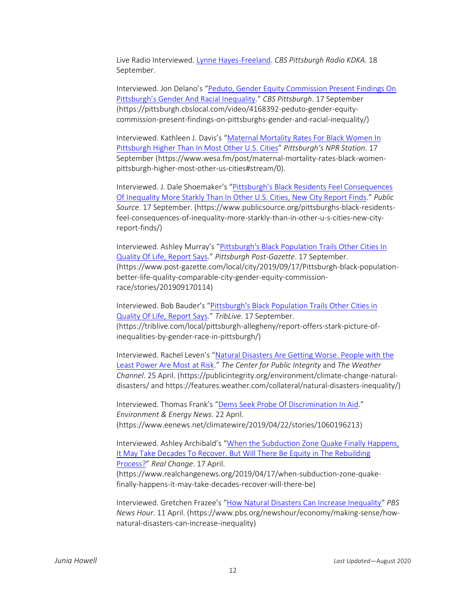Live Radio Interviewed. [Lynne Hayes-Freeland.](https://kdkaradio.radio.com/hosts/lynne-hayes-freeland) *CBS Pittsburgh Radio KDKA*. 18 September.

Interviewed. Jon Delano's "[Peduto, Gender Equity Commission Present Findings On](https://pittsburgh.cbslocal.com/video/4168392-peduto-gender-equity-commission-present-findings-on-pittsburghs-gender-and-racial-inequality/) [Pittsburgh's Gender And Racial Inequality.](https://pittsburgh.cbslocal.com/video/4168392-peduto-gender-equity-commission-present-findings-on-pittsburghs-gender-and-racial-inequality/)" *CBS Pittsburgh*. 17 September (https://pittsburgh.cbslocal.com/video/4168392-peduto-gender-equitycommission-present-findings-on-pittsburghs-gender-and-racial-inequality/)

Interviewed. Kathleen J. Davis's "[Maternal Mortality Rates For Black Women In](https://www.wesa.fm/post/maternal-mortality-rates-black-women-pittsburgh-higher-most-other-us-cities#stream/0)  [Pittsburgh Higher Than In Most Other U.S. Cities](https://www.wesa.fm/post/maternal-mortality-rates-black-women-pittsburgh-higher-most-other-us-cities#stream/0)" *Pittsburgh's NPR Station*. 17 September (https://www.wesa.fm/post/maternal-mortality-rates-black-womenpittsburgh-higher-most-other-us-cities#stream/0).

Interviewed. J. Dale Shoemaker's "P[ittsburgh's Black Residents Feel Consequences](https://www.publicsource.org/pittsburghs-black-residents-feel-consequences-of-inequality-more-starkly-than-in-other-u-s-cities-new-city-report-finds/)  [Of Inequality More Starkly Than In Other U.S. Cities, New City Report Finds](https://www.publicsource.org/pittsburghs-black-residents-feel-consequences-of-inequality-more-starkly-than-in-other-u-s-cities-new-city-report-finds/)." *Public Source*. 17 September. (https://www.publicsource.org/pittsburghs-black-residentsfeel-consequences-of-inequality-more-starkly-than-in-other-u-s-cities-new-cityreport-finds/)

Interviewed. Ashley Murray's "[Pittsburgh's Black Population Trails Other Cities In](https://www.post-gazette.com/local/city/2019/09/17/Pittsburgh-black-population-better-life-quality-comparable-city-gender-equity-commission-race/stories/201909170114)  [Quality Of Life, Report Says](https://www.post-gazette.com/local/city/2019/09/17/Pittsburgh-black-population-better-life-quality-comparable-city-gender-equity-commission-race/stories/201909170114)." *Pittsburgh Post-Gazette*. 17 September. (https://www.post-gazette.com/local/city/2019/09/17/Pittsburgh-black-populationbetter-life-quality-comparable-city-gender-equity-commissionrace/stories/201909170114)

Interviewed. Bob Bauder's "[Pittsburgh's Black Population Trails Other Cities in](https://triblive.com/local/pittsburgh-allegheny/report-offers-stark-picture-of-inequalities-by-gender-race-in-pittsburgh/)  [Quality Of Life, Report Says](https://triblive.com/local/pittsburgh-allegheny/report-offers-stark-picture-of-inequalities-by-gender-race-in-pittsburgh/)." *TribLive*. 17 September. (https://triblive.com/local/pittsburgh-allegheny/report-offers-stark-picture-ofinequalities-by-gender-race-in-pittsburgh/)

Interviewed. Rachel Leven's "[Natural Disasters Are Getting Worse. People with the](https://publicintegrity.org/environment/climate-change-natural-disasters/%20and%20https:/features.weather.com/collateral/natural-disasters-inequality/)  [Least Power Are Most at Risk](https://publicintegrity.org/environment/climate-change-natural-disasters/%20and%20https:/features.weather.com/collateral/natural-disasters-inequality/)." *The Center for Public Integrity* and *The Weather Channel*. 25 April. (https://publicintegrity.org/environment/climate-change-naturaldisasters/ and https://features.weather.com/collateral/natural-disasters-inequality/)

Interviewed. Thomas Frank's "[Dems Seek Probe Of Discrimination In Aid](https://www.eenews.net/climatewire/2019/04/22/stories/1060196213)." *Environment & Energy News*. 22 April. (https://www.eenews.net/climatewire/2019/04/22/stories/1060196213)

Interviewed. Ashley Archibald's "[When the Subduction Zone Quake Finally Happens,](https://www.realchangenews.org/2019/04/17/when-subduction-zone-quake-finally-happens-it-may-take-decades-recover-will-there-be)  [It May Take Decades To Recover. But Will There Be Equity in The Rebuilding](https://www.realchangenews.org/2019/04/17/when-subduction-zone-quake-finally-happens-it-may-take-decades-recover-will-there-be)  [Process?](https://www.realchangenews.org/2019/04/17/when-subduction-zone-quake-finally-happens-it-may-take-decades-recover-will-there-be)" *Real Change*. 17 April. (https://www.realchangenews.org/2019/04/17/when-subduction-zone-quakefinally-happens-it-may-take-decades-recover-will-there-be)

Interviewed. Gretchen Frazee's "[How Natural Disasters Can Increase Inequality](https://www.pbs.org/newshour/economy/making-sense/how-natural-disasters-can-increase-inequality)" *PBS News Hour*. 11 April. (https://www.pbs.org/newshour/economy/making-sense/hownatural-disasters-can-increase-inequality)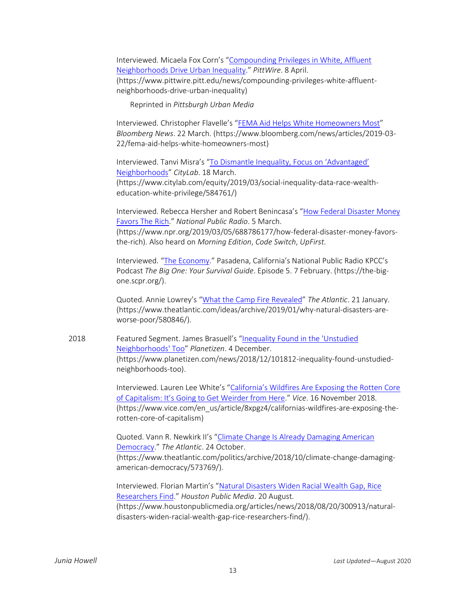Interviewed. Micaela Fox Corn's "[Compounding Privileges in White, Affluent](https://www.pittwire.pitt.edu/news/compounding-privileges-white-affluent-neighborhoods-drive-urban-inequality)  [Neighborhoods Drive Urban Inequality](https://www.pittwire.pitt.edu/news/compounding-privileges-white-affluent-neighborhoods-drive-urban-inequality)." *PittWire*. 8 April. (https://www.pittwire.pitt.edu/news/compounding-privileges-white-affluentneighborhoods-drive-urban-inequality)

Reprinted in *Pittsburgh Urban Media*

Interviewed. Christopher Flavelle's "[FEMA Aid Helps White Homeowners Most](https://www.bloomberg.com/news/articles/2019-03-22/fema-aid-helps-white-homeowners-most)" *Bloomberg News*. 22 March. (https://www.bloomberg.com/news/articles/2019-03- 22/fema-aid-helps-white-homeowners-most)

Interviewed. Tanvi Misra's ["To Dismantle Inequality, Focus on 'Advantaged'](https://www.citylab.com/equity/2019/03/social-inequality-data-race-wealth-education-white-privilege/584761/)  [Neighborhoods](https://www.citylab.com/equity/2019/03/social-inequality-data-race-wealth-education-white-privilege/584761/)" *CityLab*. 18 March. (https://www.citylab.com/equity/2019/03/social-inequality-data-race-wealtheducation-white-privilege/584761/)

Interviewed. Rebecca Hersher and Robert Benincasa's "How Federal Disaster Money [Favors The Rich](https://www.npr.org/2019/03/05/688786177/how-federal-disaster-money-favors-the-rich)." *National Public Radio*. 5 March. (https://www.npr.org/2019/03/05/688786177/how-federal-disaster-money-favorsthe-rich). Also heard on *Morning Edition*, *Code Switch*, *UpFirst*.

Interviewed. "[The Economy](https://the-big-one.scpr.org/)." Pasadena, California's National Public Radio KPCC's Podcast *The Big One: Your Survival Guide*. Episode 5. 7 February. (https://the-bigone.scpr.org/).

Quoted. Annie Lowrey's "[What the Camp Fire Revealed](https://www.theatlantic.com/ideas/archive/2019/01/why-natural-disasters-are-worse-poor/580846/)" *The Atlantic*. 21 January. (https://www.theatlantic.com/ideas/archive/2019/01/why-natural-disasters-areworse-poor/580846/).

2018 Featured Segment. James Brasuell's "[Inequality Found in the 'Unstudied](https://www.planetizen.com/news/2018/12/101812-inequality-found-unstudied-neighborhoods-too)  [Neighborhoods' Too](https://www.planetizen.com/news/2018/12/101812-inequality-found-unstudied-neighborhoods-too)" *Planetizen*. 4 December. (https://www.planetizen.com/news/2018/12/101812-inequality-found-unstudiedneighborhoods-too).

> Interviewed. Lauren Lee White's "California's Wildfires Are Exposing the Rotten Core of Capitalism: It's [Going to Get Weirder from Here](https://www.vice.com/en_us/article/8xpgz4/californias-wildfires-are-exposing-the-rotten-core-of-capitalism)." *Vice*. 16 November 2018. (https://www.vice.com/en\_us/article/8xpgz4/californias-wildfires-are-exposing-therotten-core-of-capitalism)

Quoted. Vann R. Newkirk II's "[Climate Change Is Already Damaging American](https://www.theatlantic.com/politics/archive/2018/10/climate-change-damaging-american-democracy/573769/)  [Democracy](https://www.theatlantic.com/politics/archive/2018/10/climate-change-damaging-american-democracy/573769/)." *The Atlantic*. 24 October. (https://www.theatlantic.com/politics/archive/2018/10/climate-change-damagingamerican-democracy/573769/).

Interviewed. Florian Martin's "[Natural Disasters Widen Racial Wealth Gap, Rice](https://www.houstonpublicmedia.org/articles/news/2018/08/20/300913/natural-disasters-widen-racial-wealth-gap-rice-researchers-find/)  [Researchers Find](https://www.houstonpublicmedia.org/articles/news/2018/08/20/300913/natural-disasters-widen-racial-wealth-gap-rice-researchers-find/)." *Houston Public Media*. 20 August. (https://www.houstonpublicmedia.org/articles/news/2018/08/20/300913/naturaldisasters-widen-racial-wealth-gap-rice-researchers-find/).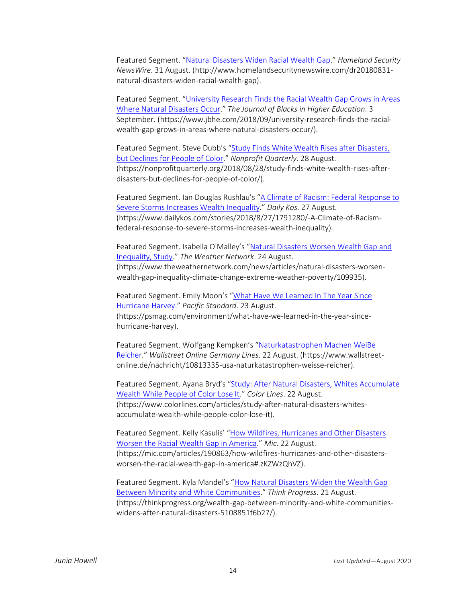Featured Segment. "[Natural Disasters Widen Racial Wealth Gap](http://www.homelandsecuritynewswire.com/dr20180831-natural-disasters-widen-racial-wealth-gap)." *Homeland Security NewsWire*. 31 August. (http://www.homelandsecuritynewswire.com/dr20180831 natural-disasters-widen-racial-wealth-gap).

Featured Segment. "[University Research Finds the Racial Wealth Gap Grows in Areas](https://www.jbhe.com/2018/09/university-research-finds-the-racial-wealth-gap-grows-in-areas-where-natural-disasters-occur/)  [Where Natural Disasters Occur](https://www.jbhe.com/2018/09/university-research-finds-the-racial-wealth-gap-grows-in-areas-where-natural-disasters-occur/)." *The Journal of Blacks in Higher Education*. 3 September. (https://www.jbhe.com/2018/09/university-research-finds-the-racialwealth-gap-grows-in-areas-where-natural-disasters-occur/).

Featured Segment. Steve Dubb's "[Study Finds White Wealth Rises after Disasters,](https://nonprofitquarterly.org/2018/08/28/study-finds-white-wealth-rises-after-disasters-but-declines-for-people-of-color/)  [but Declines for People of Color](https://nonprofitquarterly.org/2018/08/28/study-finds-white-wealth-rises-after-disasters-but-declines-for-people-of-color/)." *Nonprofit Quarterly*. 28 August. (https://nonprofitquarterly.org/2018/08/28/study-finds-white-wealth-rises-afterdisasters-but-declines-for-people-of-color/).

Featured Segment. Ian Douglas Rushlau's "[A Climate of Racism: Federal Response to](https://www.dailykos.com/stories/2018/8/27/1791280/-A-Climate-of-Racism-federal-response-to-severe-storms-increases-wealth-inequality)  [Severe Storms Increases Wealth Inequality](https://www.dailykos.com/stories/2018/8/27/1791280/-A-Climate-of-Racism-federal-response-to-severe-storms-increases-wealth-inequality)." *Daily Kos*. 27 August. (https://www.dailykos.com/stories/2018/8/27/1791280/-A-Climate-of-Racismfederal-response-to-severe-storms-increases-wealth-inequality).

Featured Segment. Isabella O'Malley's "Natural [Disasters Worsen Wealth Gap and](https://www.theweathernetwork.com/news/articles/natural-disasters-worsen-wealth-gap-inequality-climate-change-extreme-weather-poverty/109935)  [Inequality, Study](https://www.theweathernetwork.com/news/articles/natural-disasters-worsen-wealth-gap-inequality-climate-change-extreme-weather-poverty/109935)." *The Weather Network*. 24 August. (https://www.theweathernetwork.com/news/articles/natural-disasters-worsenwealth-gap-inequality-climate-change-extreme-weather-poverty/109935).

Featured Segment. Emily Moon's "[What Have We Learned In The Year Since](https://psmag.com/environment/what-have-we-learned-in-the-year-since-hurricane-harvey)  [Hurricane Harvey](https://psmag.com/environment/what-have-we-learned-in-the-year-since-hurricane-harvey)." *Pacific Standard*. 23 August. (https://psmag.com/environment/what-have-we-learned-in-the-year-sincehurricane-harvey).

Featured Segment. Wolfgang Kempken's "Naturkatastrophen Machen WeiBe [Reicher](https://www.wallstreet-online.de/nachricht/10813335-usa-naturkatastrophen-weisse-reicher)." *Wallstreet Online Germany Lines*. 22 August. (https://www.wallstreetonline.de/nachricht/10813335-usa-naturkatastrophen-weisse-reicher).

Featured Segment. Ayana Bryd's "[Study: After Natural Disasters, Whites Accumulate](https://www.colorlines.com/articles/study-after-natural-disasters-whites-accumulate-wealth-while-people-color-lose-it) [Wealth While People of Color Lose It](https://www.colorlines.com/articles/study-after-natural-disasters-whites-accumulate-wealth-while-people-color-lose-it)." *Color Lines*. 22 August. (https://www.colorlines.com/articles/study-after-natural-disasters-whitesaccumulate-wealth-while-people-color-lose-it).

Featured Segment. Kelly Kasulis' "[How Wildfires, Hurricanes and Other Disasters](https://mic.com/articles/190863/how-wildfires-hurricanes-and-other-disasters-worsen-the-racial-wealth-gap-in-america#.zKZWzQhVZ)  [Worsen the Racial Wealth Gap in America](https://mic.com/articles/190863/how-wildfires-hurricanes-and-other-disasters-worsen-the-racial-wealth-gap-in-america#.zKZWzQhVZ)." *Mic*. 22 August. (https://mic.com/articles/190863/how-wildfires-hurricanes-and-other-disastersworsen-the-racial-wealth-gap-in-america#.zKZWzQhVZ).

Featured Segment. Kyla Mandel's "[How Natural Disasters Widen the Wealth Gap](https://thinkprogress.org/wealth-gap-between-minority-and-white-communities-widens-after-natural-disasters-5108851f6b27/)  [Between Minority and White Communities](https://thinkprogress.org/wealth-gap-between-minority-and-white-communities-widens-after-natural-disasters-5108851f6b27/)." *Think Progress*. 21 August. (https://thinkprogress.org/wealth-gap-between-minority-and-white-communitieswidens-after-natural-disasters-5108851f6b27/).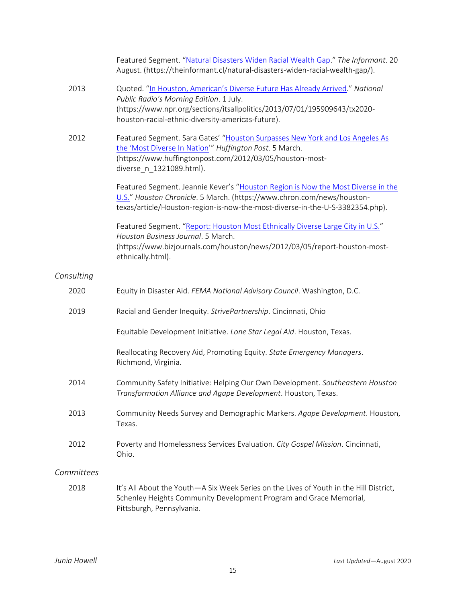|            | Featured Segment. "Natural Disasters Widen Racial Wealth Gap." The Informant. 20<br>August. (https://theinformant.cl/natural-disasters-widen-racial-wealth-gap/).                                                               |
|------------|---------------------------------------------------------------------------------------------------------------------------------------------------------------------------------------------------------------------------------|
| 2013       | Quoted. "In Houston, American's Diverse Future Has Already Arrived." National<br>Public Radio's Morning Edition. 1 July.<br>(https://www.npr.org/sections/itsallpolitics/2013/07/01/195909643/tx2020-                           |
|            | houston-racial-ethnic-diversity-americas-future).                                                                                                                                                                               |
| 2012       | Featured Segment. Sara Gates' "Houston Surpasses New York and Los Angeles As<br>the 'Most Diverse In Nation'" Huffington Post. 5 March.<br>(https://www.huffingtonpost.com/2012/03/05/houston-most-<br>diverse_n_1321089.html). |
|            | Featured Segment. Jeannie Kever's "Houston Region is Now the Most Diverse in the                                                                                                                                                |
|            | U.S." Houston Chronicle. 5 March. (https://www.chron.com/news/houston-<br>texas/article/Houston-region-is-now-the-most-diverse-in-the-U-S-3382354.php).                                                                         |
|            | Featured Segment. "Report: Houston Most Ethnically Diverse Large City in U.S."<br>Houston Business Journal. 5 March.                                                                                                            |
|            | (https://www.bizjournals.com/houston/news/2012/03/05/report-houston-most-<br>ethnically.html).                                                                                                                                  |
| Consulting |                                                                                                                                                                                                                                 |
| 2020       | Equity in Disaster Aid. FEMA National Advisory Council. Washington, D.C.                                                                                                                                                        |
| 2019       | Racial and Gender Inequity. StrivePartnership. Cincinnati, Ohio                                                                                                                                                                 |
|            | Equitable Development Initiative. Lone Star Legal Aid. Houston, Texas.                                                                                                                                                          |
|            | Reallocating Recovery Aid, Promoting Equity. State Emergency Managers.<br>Richmond, Virginia.                                                                                                                                   |
| 2014       | Community Safety Initiative: Helping Our Own Development. Southeastern Houston<br>Transformation Alliance and Agape Development. Houston, Texas.                                                                                |
| 2013       | Community Needs Survey and Demographic Markers. Agape Development. Houston,<br>Texas.                                                                                                                                           |
| 2012       | Poverty and Homelessness Services Evaluation. City Gospel Mission. Cincinnati,<br>Ohio.                                                                                                                                         |
| Committees |                                                                                                                                                                                                                                 |
| 2018       | It's All About the Youth-A Six Week Series on the Lives of Youth in the Hill District,<br>Schenley Heights Community Development Program and Grace Memorial,<br>Pittsburgh, Pennsylvania.                                       |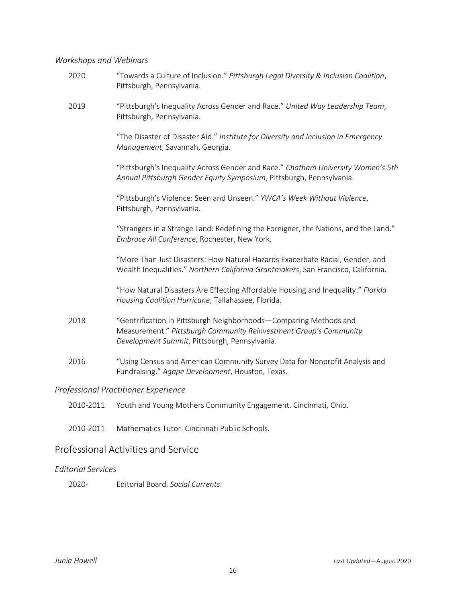# *Workshops and Webinars*

| 2020                                 | "Towards a Culture of Inclusion." Pittsburgh Legal Diversity & Inclusion Coalition,<br>Pittsburgh, Pennsylvania.                                                                        |  |  |
|--------------------------------------|-----------------------------------------------------------------------------------------------------------------------------------------------------------------------------------------|--|--|
| 2019                                 | "Pittsburgh's Inequality Across Gender and Race." United Way Leadership Team,<br>Pittsburgh, Pennsylvania.                                                                              |  |  |
|                                      | "The Disaster of Disaster Aid." Institute for Diversity and Inclusion in Emergency<br>Management, Savannah, Georgia.                                                                    |  |  |
|                                      | "Pittsburgh's Inequality Across Gender and Race." Chatham University Women's 5th<br>Annual Pittsburgh Gender Equity Symposium, Pittsburgh, Pennsylvania.                                |  |  |
|                                      | "Pittsburgh's Violence: Seen and Unseen." YWCA's Week Without Violence,<br>Pittsburgh, Pennsylvania.                                                                                    |  |  |
|                                      | "Strangers in a Strange Land: Redefining the Foreigner, the Nations, and the Land."<br>Embrace All Conference, Rochester, New York.                                                     |  |  |
|                                      | "More Than Just Disasters: How Natural Hazards Exacerbate Racial, Gender, and<br>Wealth Inequalities." Northern California Grantmakers, San Francisco, California.                      |  |  |
|                                      | "How Natural Disasters Are Effecting Affordable Housing and Inequality." Florida<br>Housing Coalition Hurricane, Tallahassee, Florida.                                                  |  |  |
| 2018                                 | "Gentrification in Pittsburgh Neighborhoods-Comparing Methods and<br>Measurement." Pittsburgh Community Reinvestment Group's Community<br>Development Summit, Pittsburgh, Pennsylvania. |  |  |
| 2016                                 | "Using Census and American Community Survey Data for Nonprofit Analysis and<br>Fundraising." Agape Development, Houston, Texas.                                                         |  |  |
| Professional Practitioner Experience |                                                                                                                                                                                         |  |  |

- 2010-2011 Youth and Young Mothers Community Engagement. Cincinnati, Ohio.
- 2010-2011 Mathematics Tutor. Cincinnati Public Schools.

# Professional Activities and Service

# *Editorial Services*

2020- Editorial Board. *Social Currents*.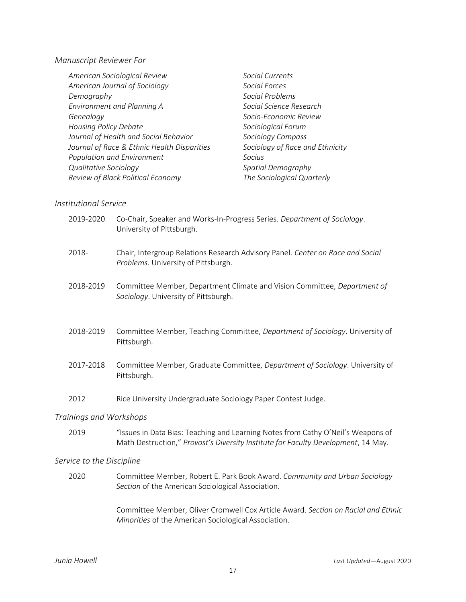#### *Manuscript Reviewer For*

| American Sociological Review                | Social Currents                 |
|---------------------------------------------|---------------------------------|
| American Journal of Sociology               | Social Forces                   |
| Demography                                  | Social Problems                 |
| Environment and Planning A                  | Social Science Research         |
| Genealogy                                   | Socio-Economic Review           |
| <b>Housing Policy Debate</b>                | Sociological Forum              |
| Journal of Health and Social Behavior       | Sociology Compass               |
| Journal of Race & Ethnic Health Disparities | Sociology of Race and Ethnicity |
| Population and Environment                  | Socius                          |
| <b>Qualitative Sociology</b>                | Spatial Demography              |
| Review of Black Political Economy           | The Sociological Quarterly      |

#### *Institutional Service*

|                         | 2019-2020 | Co-Chair, Speaker and Works-In-Progress Series. Department of Sociology.<br>University of Pittsburgh.                                                                 |
|-------------------------|-----------|-----------------------------------------------------------------------------------------------------------------------------------------------------------------------|
|                         | 2018-     | Chair, Intergroup Relations Research Advisory Panel. Center on Race and Social<br>Problems. University of Pittsburgh.                                                 |
|                         | 2018-2019 | Committee Member, Department Climate and Vision Committee, Department of<br>Sociology. University of Pittsburgh.                                                      |
|                         | 2018-2019 | Committee Member, Teaching Committee, Department of Sociology. University of<br>Pittsburgh.                                                                           |
|                         | 2017-2018 | Committee Member, Graduate Committee, Department of Sociology. University of<br>Pittsburgh.                                                                           |
|                         | 2012      | Rice University Undergraduate Sociology Paper Contest Judge.                                                                                                          |
| Trainings and Workshops |           |                                                                                                                                                                       |
|                         | 2019      | "Issues in Data Bias: Teaching and Learning Notes from Cathy O'Neil's Weapons of<br>Math Destruction," Provost's Diversity Institute for Faculty Development, 14 May. |

#### *Service to the Discipline*

2020 Committee Member, Robert E. Park Book Award. *Community and Urban Sociology Section* of the American Sociological Association.

> Committee Member, Oliver Cromwell Cox Article Award. *Section on Racial and Ethnic Minorities* of the American Sociological Association.